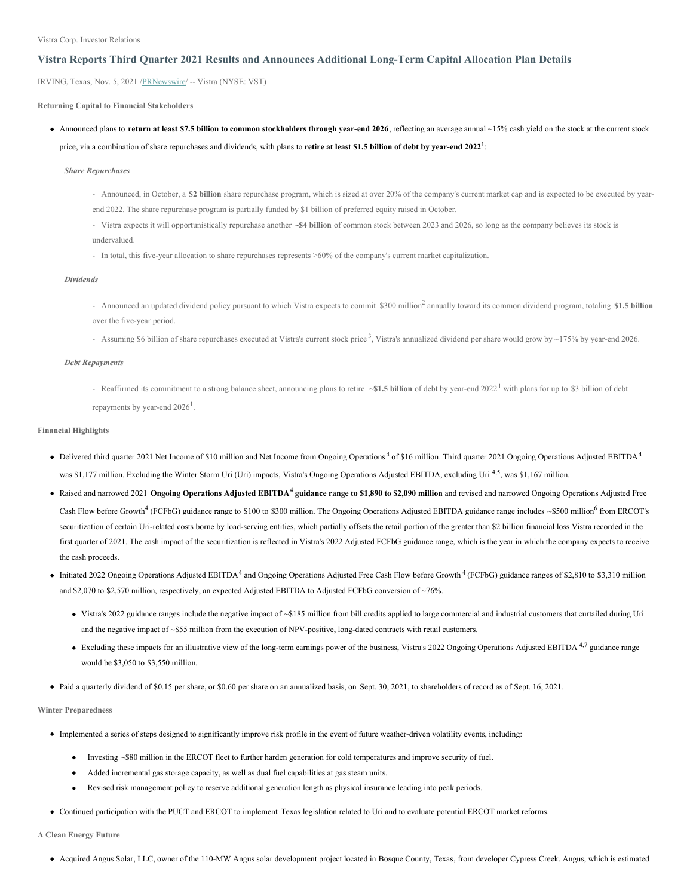Vistra Corp. Investor Relations

### **Vistra Reports Third Quarter 2021 Results and Announces Additional Long-Term Capital Allocation Plan Details**

IRVING, Texas, Nov. 5, 2021 [/PRNewswire](http://www.prnewswire.com/)/ -- Vistra (NYSE: VST)

**Returning Capital to Financial Stakeholders**

• Announced plans to return at least \$7.5 billion to common stockholders through year-end 2026, reflecting an average annual  $\sim$ 15% cash yield on the stock at the current stock price, via a combination of share repurchases and dividends, with plans to **retire at least \$1.5 billion of debt by year-end 2022** 1 :

*Share Repurchases*

- Announced, in October, a **\$2 billion** share repurchase program, which is sized at over 20% of the company's current market cap and is expected to be executed by yearend 2022. The share repurchase program is partially funded by \$1 billion of preferred equity raised in October.
- Vistra expects it will opportunistically repurchase another **~\$4 billion** of common stock between 2023 and 2026, so long as the company believes its stock is undervalued.
- In total, this five-year allocation to share repurchases represents >60% of the company's current market capitalization.

### *Dividends*

- Announced an updated dividend policy pursuant to which Vistra expects to commit \$300 million <sup>2</sup> annually toward its common dividend program, totaling **\$1.5 billion** over the five-year period.
- Assuming \$6 billion of share repurchases executed at Vistra's current stock price<sup>3</sup>, Vistra's annualized dividend per share would grow by ~175% by year-end 2026.

### *Debt Repayments*

- Reaffirmed its commitment to a strong balance sheet, announcing plans to retire **~\$1.5 billion** of debt by year-end 2022 <sup>1</sup> with plans for up to \$3 billion of debt repayments by year-end  $2026<sup>1</sup>$ .

### **Financial Highlights**

- Delivered third quarter 2021 Net Income of \$10 million and Net Income from Ongoing Operations 4 of \$16 million. Third quarter 2021 Ongoing Operations Adjusted EBITDA<sup>4</sup> was \$1,177 million. Excluding the Winter Storm Uri (Uri) impacts, Vistra's Ongoing Operations Adjusted EBITDA, excluding Uri <sup>4,5</sup>, was \$1,167 million.
- Raised and narrowed 2021 Ongoing Operations Adjusted EBITDA<sup>4</sup> guidance range to \$1,890 to \$2,090 million and revised and narrowed Ongoing Operations Adjusted Free Cash Flow before Growth<sup>4</sup> (FCFbG) guidance range to \$100 to \$300 million. The Ongoing Operations Adjusted EBITDA guidance range includes ~\$500 million<sup>6</sup> from ERCOT's securitization of certain Uri-related costs borne by load-serving entities, which partially offsets the retail portion of the greater than \$2 billion financial loss Vistra recorded in the first quarter of 2021. The cash impact of the securitization is reflected in Vistra's 2022 Adjusted FCFbG guidance range, which is the year in which the company expects to receive the cash proceeds.
- Initiated 2022 Ongoing Operations Adjusted EBITDA<sup>4</sup> and Ongoing Operations Adjusted Free Cash Flow before Growth<sup>4</sup> (FCFbG) guidance ranges of \$2,810 to \$3,310 million and \$2,070 to \$2,570 million, respectively, an expected Adjusted EBITDA to Adjusted FCFbG conversion of ~76%.
	- Vistra's 2022 guidance ranges include the negative impact of ~\$185 million from bill credits applied to large commercial and industrial customers that curtailed during Uri and the negative impact of ~\$55 million from the execution of NPV-positive, long-dated contracts with retail customers.
	- Excluding these impacts for an illustrative view of the long-term earnings power of the business, Vistra's 2022 Ongoing Operations Adjusted EBITDA<sup>4,7</sup> guidance range would be \$3,050 to \$3,550 million.
- Paid a quarterly dividend of \$0.15 per share, or \$0.60 per share on an annualized basis, on Sept. 30, 2021, to shareholders of record as of Sept. 16, 2021.

#### **Winter Preparedness**

- Implemented a series of steps designed to significantly improve risk profile in the event of future weather-driven volatility events, including:
	- Investing ~\$80 million in the ERCOT fleet to further harden generation for cold temperatures and improve security of fuel.
	- Added incremental gas storage capacity, as well as dual fuel capabilities at gas steam units.  $\bullet$
	- Revised risk management policy to reserve additional generation length as physical insurance leading into peak periods.
- Continued participation with the PUCT and ERCOT to implement Texas legislation related to Uri and to evaluate potential ERCOT market reforms.

**A Clean Energy Future**

Acquired Angus Solar, LLC, owner of the 110-MW Angus solar development project located in Bosque County, Texas, from developer Cypress Creek. Angus, which is estimated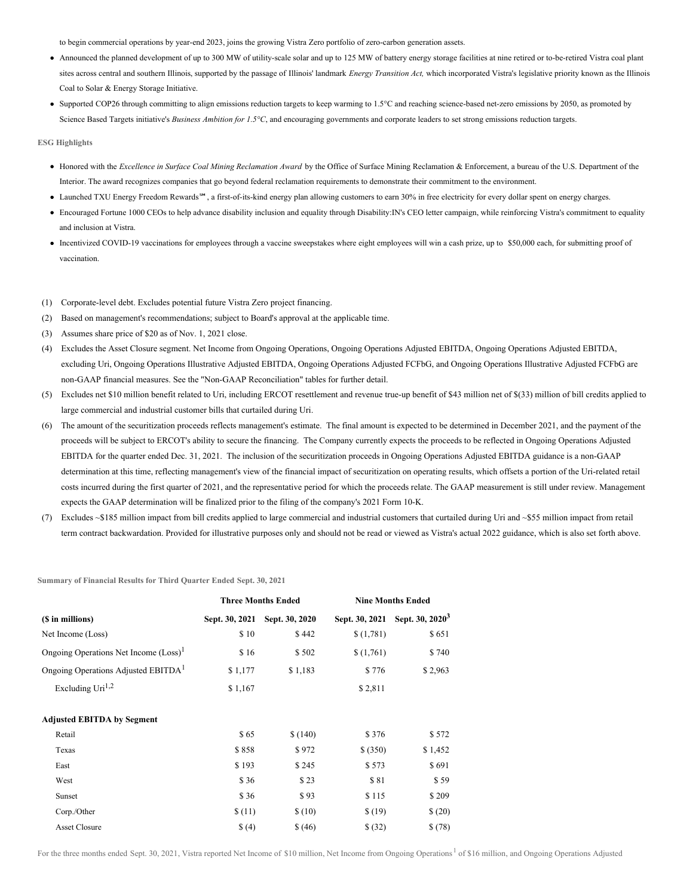to begin commercial operations by year-end 2023, joins the growing Vistra Zero portfolio of zero-carbon generation assets.

- Announced the planned development of up to 300 MW of utility-scale solar and up to 125 MW of battery energy storage facilities at nine retired or to-be-retired Vistra coal plant sites across central and southern Illinois, supported by the passage of Illinois' landmark *Energy Transition Act,* which incorporated Vistra's legislative priority known as the Illinois Coal to Solar & Energy Storage Initiative.
- Supported COP26 through committing to align emissions reduction targets to keep warming to 1.5°C and reaching science-based net-zero emissions by 2050, as promoted by Science Based Targets initiative's *Business Ambition for 1.5°C*, and encouraging governments and corporate leaders to set strong emissions reduction targets.

**ESG Highlights**

- Honored with the *Excellence in Surface Coal Mining Reclamation Award* by the Office of Surface Mining Reclamation & Enforcement, a bureau of the U.S. Department of the Interior. The award recognizes companies that go beyond federal reclamation requirements to demonstrate their commitment to the environment.
- Launched TXU Energy Freedom Rewards℠, a first-of-its-kind energy plan allowing customers to earn 30% in free electricity for every dollar spent on energy charges.
- Encouraged Fortune 1000 CEOs to help advance disability inclusion and equality through Disability:IN's CEO letter campaign, while reinforcing Vistra's commitment to equality and inclusion at Vistra.
- Incentivized COVID-19 vaccinations for employees through a vaccine sweepstakes where eight employees will win a cash prize, up to \$50,000 each, for submitting proof of vaccination.
- (1) Corporate-level debt. Excludes potential future Vistra Zero project financing.
- (2) Based on management's recommendations; subject to Board's approval at the applicable time.
- (3) Assumes share price of \$20 as of Nov. 1, 2021 close.
- (4) Excludes the Asset Closure segment. Net Income from Ongoing Operations, Ongoing Operations Adjusted EBITDA, Ongoing Operations Adjusted EBITDA, excluding Uri, Ongoing Operations Illustrative Adjusted EBITDA, Ongoing Operations Adjusted FCFbG, and Ongoing Operations Illustrative Adjusted FCFbG are non-GAAP financial measures. See the "Non-GAAP Reconciliation" tables for further detail.
- (5) Excludes net \$10 million benefit related to Uri, including ERCOT resettlement and revenue true-up benefit of \$43 million net of \$(33) million of bill credits applied to large commercial and industrial customer bills that curtailed during Uri.
- (6) The amount of the securitization proceeds reflects management's estimate. The final amount is expected to be determined in December 2021, and the payment of the proceeds will be subject to ERCOT's ability to secure the financing. The Company currently expects the proceeds to be reflected in Ongoing Operations Adjusted EBITDA for the quarter ended Dec. 31, 2021. The inclusion of the securitization proceeds in Ongoing Operations Adjusted EBITDA guidance is a non-GAAP determination at this time, reflecting management's view of the financial impact of securitization on operating results, which offsets a portion of the Uri-related retail costs incurred during the first quarter of 2021, and the representative period for which the proceeds relate. The GAAP measurement is still under review. Management expects the GAAP determination will be finalized prior to the filing of the company's 2021 Form 10-K.
- (7) Excludes ~\$185 million impact from bill credits applied to large commercial and industrial customers that curtailed during Uri and ~\$55 million impact from retail term contract backwardation. Provided for illustrative purposes only and should not be read or viewed as Vistra's actual 2022 guidance, which is also set forth above.

**Summary of Financial Results for Third Quarter Ended Sept. 30, 2021**

|                                                 |                | <b>Three Months Ended</b> | <b>Nine Months Ended</b> |                             |  |  |
|-------------------------------------------------|----------------|---------------------------|--------------------------|-----------------------------|--|--|
| (\$ in millions)                                | Sept. 30, 2021 | Sept. 30, 2020            | Sept. 30, 2021           | Sept. 30, 2020 <sup>3</sup> |  |  |
| Net Income (Loss)                               | \$10           | \$442                     | \$(1,781)                | \$651                       |  |  |
| Ongoing Operations Net Income $(Loss)^{1}$      | \$16           | \$502                     | \$(1,761)                | \$740                       |  |  |
| Ongoing Operations Adjusted EBITDA <sup>1</sup> | \$1,177        | \$1,183                   | \$776                    | \$2,963                     |  |  |
| Excluding $Uri^{1,2}$                           | \$1,167        |                           | \$2,811                  |                             |  |  |
| <b>Adjusted EBITDA by Segment</b>               |                |                           |                          |                             |  |  |
| Retail                                          | \$65           | \$(140)                   | \$376                    | \$572                       |  |  |
| Texas                                           | \$858          | \$972                     | \$ (350)                 | \$1,452                     |  |  |
| East                                            | \$193          | \$245                     | \$573                    | \$691                       |  |  |
| West                                            | \$36           | \$23                      | \$81                     | \$59                        |  |  |
| Sunset                                          | \$36           | \$93                      | \$115                    | \$209                       |  |  |
| Corp./Other                                     | \$(11)         | \$(10)                    | \$(19)                   | \$(20)                      |  |  |
| <b>Asset Closure</b>                            | \$(4)          | \$ (46)                   | \$ (32)                  | \$(78)                      |  |  |

For the three months ended Sept. 30, 2021, Vistra reported Net Income of \$10 million, Net Income from Ongoing Operations<sup>1</sup> of \$16 million, and Ongoing Operations Adjusted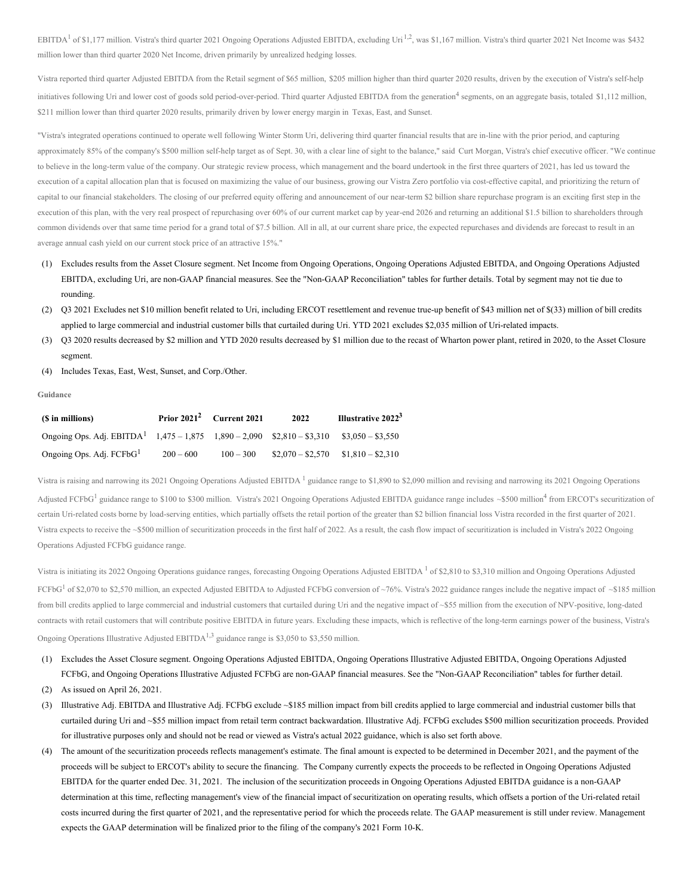EBITDA<sup>1</sup> of \$1,177 million. Vistra's third quarter 2021 Ongoing Operations Adjusted EBITDA, excluding Uri<sup>1,2</sup>, was \$1,167 million. Vistra's third quarter 2021 Net Income was \$432 million lower than third quarter 2020 Net Income, driven primarily by unrealized hedging losses.

Vistra reported third quarter Adjusted EBITDA from the Retail segment of \$65 million, \$205 million higher than third quarter 2020 results, driven by the execution of Vistra's self-help initiatives following Uri and lower cost of goods sold period-over-period. Third quarter Adjusted EBITDA from the generation<sup>4</sup> segments, on an aggregate basis, totaled \$1,112 million, \$211 million lower than third quarter 2020 results, primarily driven by lower energy margin in Texas, East, and Sunset.

"Vistra's integrated operations continued to operate well following Winter Storm Uri, delivering third quarter financial results that are in-line with the prior period, and capturing approximately 85% of the company's \$500 million self-help target as of Sept. 30, with a clear line of sight to the balance," said Curt Morgan, Vistra's chief executive officer. "We continue to believe in the long-term value of the company. Our strategic review process, which management and the board undertook in the first three quarters of 2021, has led us toward the execution of a capital allocation plan that is focused on maximizing the value of our business, growing our Vistra Zero portfolio via cost-effective capital, and prioritizing the return of capital to our financial stakeholders. The closing of our preferred equity offering and announcement of our near-term \$2 billion share repurchase program is an exciting first step in the execution of this plan, with the very real prospect of repurchasing over 60% of our current market cap by year-end 2026 and returning an additional \$1.5 billion to shareholders through common dividends over that same time period for a grand total of \$7.5 billion. All in all, at our current share price, the expected repurchases and dividends are forecast to result in an average annual cash yield on our current stock price of an attractive 15%."

- (1) Excludes results from the Asset Closure segment. Net Income from Ongoing Operations, Ongoing Operations Adjusted EBITDA, and Ongoing Operations Adjusted EBITDA, excluding Uri, are non-GAAP financial measures. See the "Non-GAAP Reconciliation" tables for further details. Total by segment may not tie due to rounding.
- (2) Q3 2021 Excludes net \$10 million benefit related to Uri, including ERCOT resettlement and revenue true-up benefit of \$43 million net of \$(33) million of bill credits applied to large commercial and industrial customer bills that curtailed during Uri. YTD 2021 excludes \$2,035 million of Uri-related impacts.
- (3) Q3 2020 results decreased by \$2 million and YTD 2020 results decreased by \$1 million due to the recast of Wharton power plant, retired in 2020, to the Asset Closure segment.
- (4) Includes Texas, East, West, Sunset, and Corp./Other.

#### **Guidance**

| (\$ in millions)                                                                        |             | Prior $2021^2$ Current 2021 | 2022              | Illustrative 2022 <sup>3</sup> |
|-----------------------------------------------------------------------------------------|-------------|-----------------------------|-------------------|--------------------------------|
| Ongoing Ops. Adj. EBITDA <sup>1</sup> $1,475 - 1,875$ $1,890 - 2,090$ \$2,810 - \$3,310 |             |                             |                   | $\$3.050 - \$3.550$            |
| Ongoing Ops. Adj. FCFbG <sup>1</sup>                                                    | $200 - 600$ | $100 - 300$                 | $$2.070 - $2.570$ | $$1,810 - $2,310$              |

Vistra is raising and narrowing its 2021 Ongoing Operations Adjusted EBITDA<sup>1</sup> guidance range to \$1,890 to \$2,090 million and revising and narrowing its 2021 Ongoing Operations Adjusted FCFbG<sup>1</sup> guidance range to \$100 to \$300 million. Vistra's 2021 Ongoing Operations Adjusted EBITDA guidance range includes  $\sim$ \$500 million<sup>4</sup> from ERCOT's securitization of certain Uri-related costs borne by load-serving entities, which partially offsets the retail portion of the greater than \$2 billion financial loss Vistra recorded in the first quarter of 2021. Vistra expects to receive the ~\$500 million of securitization proceeds in the first half of 2022. As a result, the cash flow impact of securitization is included in Vistra's 2022 Ongoing Operations Adjusted FCFbG guidance range.

Vistra is initiating its 2022 Ongoing Operations guidance ranges, forecasting Ongoing Operations Adjusted EBITDA  $<sup>1</sup>$  of \$2,810 to \$3,310 million and Ongoing Operations Adjusted</sup> FCFbG<sup>1</sup> of \$2,070 to \$2,570 million, an expected Adjusted EBITDA to Adjusted FCFbG conversion of ~76%. Vistra's 2022 guidance ranges include the negative impact of ~\$185 million from bill credits applied to large commercial and industrial customers that curtailed during Uri and the negative impact of ~\$55 million from the execution of NPV-positive, long-dated contracts with retail customers that will contribute positive EBITDA in future years. Excluding these impacts, which is reflective of the long-term earnings power of the business, Vistra's Ongoing Operations Illustrative Adjusted EBITDA<sup>1,3</sup> guidance range is \$3,050 to \$3,550 million.

- (1) Excludes the Asset Closure segment. Ongoing Operations Adjusted EBITDA, Ongoing Operations Illustrative Adjusted EBITDA, Ongoing Operations Adjusted FCFbG, and Ongoing Operations Illustrative Adjusted FCFbG are non-GAAP financial measures. See the "Non-GAAP Reconciliation" tables for further detail.
- (2) As issued on April 26, 2021.
- (3) Illustrative Adj. EBITDA and Illustrative Adj. FCFbG exclude ~\$185 million impact from bill credits applied to large commercial and industrial customer bills that curtailed during Uri and ~\$55 million impact from retail term contract backwardation. Illustrative Adj. FCFbG excludes \$500 million securitization proceeds. Provided for illustrative purposes only and should not be read or viewed as Vistra's actual 2022 guidance, which is also set forth above.
- (4) The amount of the securitization proceeds reflects management's estimate. The final amount is expected to be determined in December 2021, and the payment of the proceeds will be subject to ERCOT's ability to secure the financing. The Company currently expects the proceeds to be reflected in Ongoing Operations Adjusted EBITDA for the quarter ended Dec. 31, 2021. The inclusion of the securitization proceeds in Ongoing Operations Adjusted EBITDA guidance is a non-GAAP determination at this time, reflecting management's view of the financial impact of securitization on operating results, which offsets a portion of the Uri-related retail costs incurred during the first quarter of 2021, and the representative period for which the proceeds relate. The GAAP measurement is still under review. Management expects the GAAP determination will be finalized prior to the filing of the company's 2021 Form 10-K.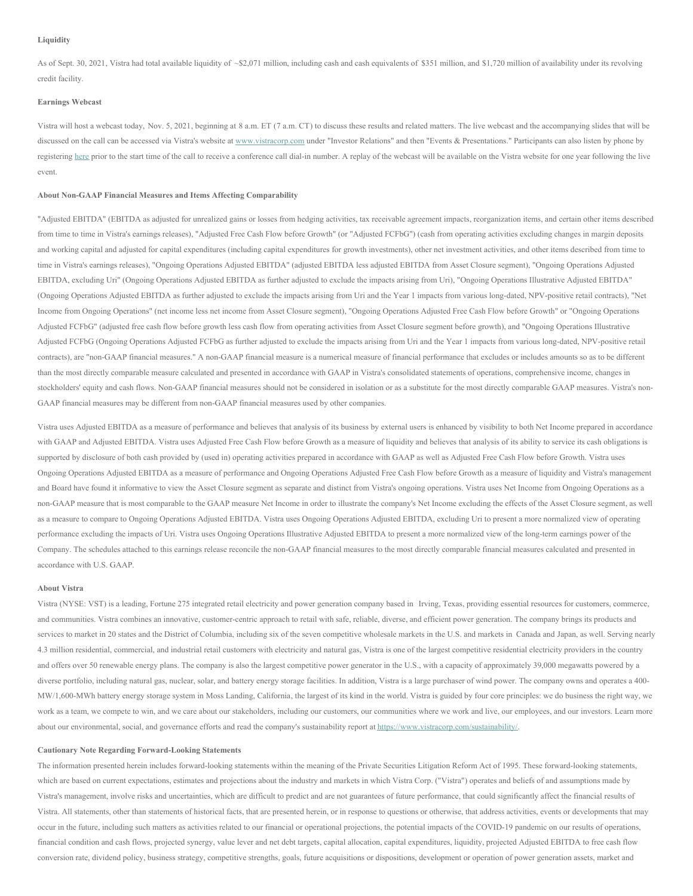As of Sept. 30, 2021, Vistra had total available liquidity of ~\$2,071 million, including cash and cash equivalents of \$351 million, and \$1,720 million of availability under its revolving credit facility.

#### **Earnings Webcast**

Vistra will host a webcast today, Nov. 5, 2021, beginning at 8 a.m. ET (7 a.m. CT) to discuss these results and related matters. The live webcast and the accompanying slides that will be discussed on the call can be accessed via Vistra's website at [www.vistracorp.com](http://www.vistracorp.com) under "Investor Relations" and then "Events & Presentations." Participants can also listen by phone by registering [here](https://c212.net/c/link/?t=0&l=en&o=3348444-1&h=2477802531&u=https%3A%2F%2Fdpregister.com%2Fsreg%2F10160614%2Fede0e2f596&a=here) prior to the start time of the call to receive a conference call dial-in number. A replay of the webcast will be available on the Vistra website for one year following the live event.

#### **About Non-GAAP Financial Measures and Items Affecting Comparability**

"Adjusted EBITDA" (EBITDA as adjusted for unrealized gains or losses from hedging activities, tax receivable agreement impacts, reorganization items, and certain other items described from time to time in Vistra's earnings releases), "Adjusted Free Cash Flow before Growth" (or "Adjusted FCFbG") (cash from operating activities excluding changes in margin deposits and working capital and adjusted for capital expenditures (including capital expenditures for growth investments), other net investment activities, and other items described from time to time in Vistra's earnings releases), "Ongoing Operations Adjusted EBITDA" (adjusted EBITDA less adjusted EBITDA from Asset Closure segment), "Ongoing Operations Adjusted EBITDA, excluding Uri" (Ongoing Operations Adjusted EBITDA as further adjusted to exclude the impacts arising from Uri), "Ongoing Operations Illustrative Adjusted EBITDA" (Ongoing Operations Adjusted EBITDA as further adjusted to exclude the impacts arising from Uri and the Year 1 impacts from various long-dated, NPV-positive retail contracts), "Net Income from Ongoing Operations" (net income less net income from Asset Closure segment), "Ongoing Operations Adjusted Free Cash Flow before Growth" or "Ongoing Operations Adjusted FCFbG" (adjusted free cash flow before growth less cash flow from operating activities from Asset Closure segment before growth), and "Ongoing Operations Illustrative Adjusted FCFbG (Ongoing Operations Adjusted FCFbG as further adjusted to exclude the impacts arising from Uri and the Year 1 impacts from various long-dated, NPV-positive retail contracts), are "non-GAAP financial measures." A non-GAAP financial measure is a numerical measure of financial performance that excludes or includes amounts so as to be different than the most directly comparable measure calculated and presented in accordance with GAAP in Vistra's consolidated statements of operations, comprehensive income, changes in stockholders' equity and cash flows. Non-GAAP financial measures should not be considered in isolation or as a substitute for the most directly comparable GAAP measures. Vistra's non-GAAP financial measures may be different from non-GAAP financial measures used by other companies.

Vistra uses Adjusted EBITDA as a measure of performance and believes that analysis of its business by external users is enhanced by visibility to both Net Income prepared in accordance with GAAP and Adjusted EBITDA. Vistra uses Adjusted Free Cash Flow before Growth as a measure of liquidity and believes that analysis of its ability to service its cash obligations is supported by disclosure of both cash provided by (used in) operating activities prepared in accordance with GAAP as well as Adjusted Free Cash Flow before Growth. Vistra uses Ongoing Operations Adjusted EBITDA as a measure of performance and Ongoing Operations Adjusted Free Cash Flow before Growth as a measure of liquidity and Vistra's management and Board have found it informative to view the Asset Closure segment as separate and distinct from Vistra's ongoing operations. Vistra uses Net Income from Ongoing Operations as a non-GAAP measure that is most comparable to the GAAP measure Net Income in order to illustrate the company's Net Income excluding the effects of the Asset Closure segment, as well as a measure to compare to Ongoing Operations Adjusted EBITDA. Vistra uses Ongoing Operations Adjusted EBITDA, excluding Uri to present a more normalized view of operating performance excluding the impacts of Uri. Vistra uses Ongoing Operations Illustrative Adjusted EBITDA to present a more normalized view of the long-term earnings power of the Company. The schedules attached to this earnings release reconcile the non-GAAP financial measures to the most directly comparable financial measures calculated and presented in accordance with U.S. GAAP.

#### **About Vistra**

Vistra (NYSE: VST) is a leading, Fortune 275 integrated retail electricity and power generation company based in Irving, Texas, providing essential resources for customers, commerce, and communities. Vistra combines an innovative, customer-centric approach to retail with safe, reliable, diverse, and efficient power generation. The company brings its products and services to market in 20 states and the District of Columbia, including six of the seven competitive wholesale markets in the U.S. and markets in Canada and Japan, as well. Serving nearly 4.3 million residential, commercial, and industrial retail customers with electricity and natural gas, Vistra is one of the largest competitive residential electricity providers in the country and offers over 50 renewable energy plans. The company is also the largest competitive power generator in the U.S., with a capacity of approximately 39,000 megawatts powered by a diverse portfolio, including natural gas, nuclear, solar, and battery energy storage facilities. In addition, Vistra is a large purchaser of wind power. The company owns and operates a 400-MW/1,600-MWh battery energy storage system in Moss Landing, California, the largest of its kind in the world. Vistra is guided by four core principles: we do business the right way, we work as a team, we compete to win, and we care about our stakeholders, including our customers, our communities where we work and live, our employees, and our investors. Learn more about our environmental, social, and governance efforts and read the company's sustainability report at [https://www.vistracorp.com/sustainability/](https://c212.net/c/link/?t=0&l=en&o=3348444-1&h=3695267118&u=https%3A%2F%2Fc212.net%2Fc%2Flink%2F%3Ft%3D0%26l%3Den%26o%3D3027597-1%26h%3D1583655726%26u%3Dhttps%253A%252F%252Fwww.vistracorp.com%252Fsustainability%252F%26a%3Dhttps%253A%252F%252Fwww.vistracorp.com%252Fsustainability%252F&a=https%3A%2F%2Fwww.vistracorp.com%2Fsustainability%2F).

#### **Cautionary Note Regarding Forward-Looking Statements**

The information presented herein includes forward-looking statements within the meaning of the Private Securities Litigation Reform Act of 1995. These forward-looking statements, which are based on current expectations, estimates and projections about the industry and markets in which Vistra Corp. ("Vistra") operates and beliefs of and assumptions made by Vistra's management, involve risks and uncertainties, which are difficult to predict and are not guarantees of future performance, that could significantly affect the financial results of Vistra. All statements, other than statements of historical facts, that are presented herein, or in response to questions or otherwise, that address activities, events or developments that may occur in the future, including such matters as activities related to our financial or operational projections, the potential impacts of the COVID-19 pandemic on our results of operations, financial condition and cash flows, projected synergy, value lever and net debt targets, capital allocation, capital expenditures, liquidity, projected Adjusted EBITDA to free cash flow conversion rate, dividend policy, business strategy, competitive strengths, goals, future acquisitions or dispositions, development or operation of power generation assets, market and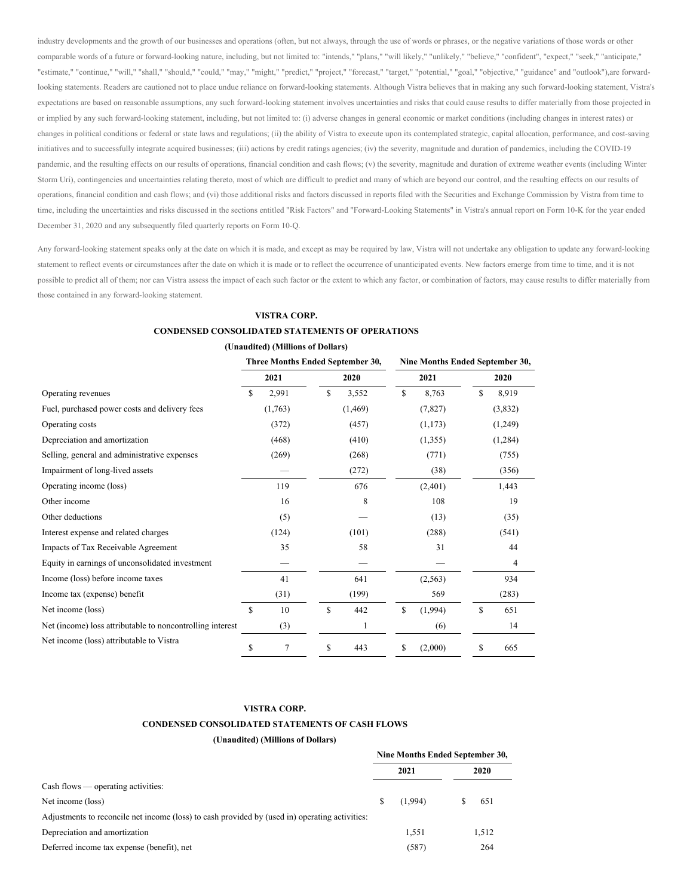industry developments and the growth of our businesses and operations (often, but not always, through the use of words or phrases, or the negative variations of those words or other comparable words of a future or forward-looking nature, including, but not limited to: "intends," "plans," "will likely," "unlikely," "believe," "confident", "expect," "seek," "anticipate," "estimate," "continue," "will," "shall," "should," "could," "may," "might," "predict," "project," "forecast," "target," "potential," "goal," "objective," "guidance" and "outlook"),are forwardlooking statements. Readers are cautioned not to place undue reliance on forward-looking statements. Although Vistra believes that in making any such forward-looking statement, Vistra's expectations are based on reasonable assumptions, any such forward-looking statement involves uncertainties and risks that could cause results to differ materially from those projected in or implied by any such forward-looking statement, including, but not limited to: (i) adverse changes in general economic or market conditions (including changes in interest rates) or changes in political conditions or federal or state laws and regulations; (ii) the ability of Vistra to execute upon its contemplated strategic, capital allocation, performance, and cost-saving initiatives and to successfully integrate acquired businesses; (iii) actions by credit ratings agencies; (iv) the severity, magnitude and duration of pandemics, including the COVID-19 pandemic, and the resulting effects on our results of operations, financial condition and cash flows; (v) the severity, magnitude and duration of extreme weather events (including Winter Storm Uri), contingencies and uncertainties relating thereto, most of which are difficult to predict and many of which are beyond our control, and the resulting effects on our results of operations, financial condition and cash flows; and (vi) those additional risks and factors discussed in reports filed with the Securities and Exchange Commission by Vistra from time to time, including the uncertainties and risks discussed in the sections entitled "Risk Factors" and "Forward-Looking Statements" in Vistra's annual report on Form 10-K for the year ended December 31, 2020 and any subsequently filed quarterly reports on Form 10-Q.

Any forward-looking statement speaks only at the date on which it is made, and except as may be required by law, Vistra will not undertake any obligation to update any forward-looking statement to reflect events or circumstances after the date on which it is made or to reflect the occurrence of unanticipated events. New factors emerge from time to time, and it is not possible to predict all of them; nor can Vistra assess the impact of each such factor or the extent to which any factor, or combination of factors, may cause results to differ materially from those contained in any forward-looking statement.

### **VISTRA CORP.**

### **CONDENSED CONSOLIDATED STATEMENTS OF OPERATIONS**

| (Unaudited) (Millions of Dollars) |  |  |
|-----------------------------------|--|--|
|                                   |  |  |

|                                                           |    | Three Months Ended September 30, |    |          |               |          | Nine Months Ended September 30, |  |  |
|-----------------------------------------------------------|----|----------------------------------|----|----------|---------------|----------|---------------------------------|--|--|
|                                                           |    | 2021                             |    | 2020     |               | 2021     | 2020                            |  |  |
| Operating revenues                                        | \$ | 2,991                            | S  | 3,552    | <sup>\$</sup> | 8,763    | \$<br>8,919                     |  |  |
| Fuel, purchased power costs and delivery fees             |    | (1,763)                          |    | (1, 469) |               | (7,827)  | (3,832)                         |  |  |
| Operating costs                                           |    | (372)                            |    | (457)    |               | (1,173)  | (1,249)                         |  |  |
| Depreciation and amortization                             |    | (468)                            |    | (410)    |               | (1,355)  | (1,284)                         |  |  |
| Selling, general and administrative expenses              |    | (269)                            |    | (268)    |               | (771)    | (755)                           |  |  |
| Impairment of long-lived assets                           |    |                                  |    | (272)    |               | (38)     | (356)                           |  |  |
| Operating income (loss)                                   |    | 119                              |    | 676      |               | (2,401)  | 1,443                           |  |  |
| Other income                                              |    | 16                               |    | 8        |               | 108      | 19                              |  |  |
| Other deductions                                          |    | (5)                              |    |          |               | (13)     | (35)                            |  |  |
| Interest expense and related charges                      |    | (124)                            |    | (101)    |               | (288)    | (541)                           |  |  |
| Impacts of Tax Receivable Agreement                       |    | 35                               |    | 58       |               | 31       | 44                              |  |  |
| Equity in earnings of unconsolidated investment           |    |                                  |    |          |               |          | 4                               |  |  |
| Income (loss) before income taxes                         |    | 41                               |    | 641      |               | (2, 563) | 934                             |  |  |
| Income tax (expense) benefit                              |    | (31)                             |    | (199)    |               | 569      | (283)                           |  |  |
| Net income (loss)                                         | S  | 10                               | \$ | 442      | \$            | (1,994)  | \$<br>651                       |  |  |
| Net (income) loss attributable to noncontrolling interest |    | (3)                              |    |          |               | (6)      | 14                              |  |  |
| Net income (loss) attributable to Vistra                  | S  | 7                                | \$ | 443      | S             | (2,000)  | \$<br>665                       |  |  |

## **VISTRA CORP.**

### **CONDENSED CONSOLIDATED STATEMENTS OF CASH FLOWS**

|   | 2021    |       |                                         |
|---|---------|-------|-----------------------------------------|
|   |         |       |                                         |
| S | (1,994) | 651   |                                         |
|   |         |       |                                         |
|   | 1.551   | 1,512 |                                         |
|   | (587)   | 264   |                                         |
|   |         |       | Nine Months Ended September 30,<br>2020 |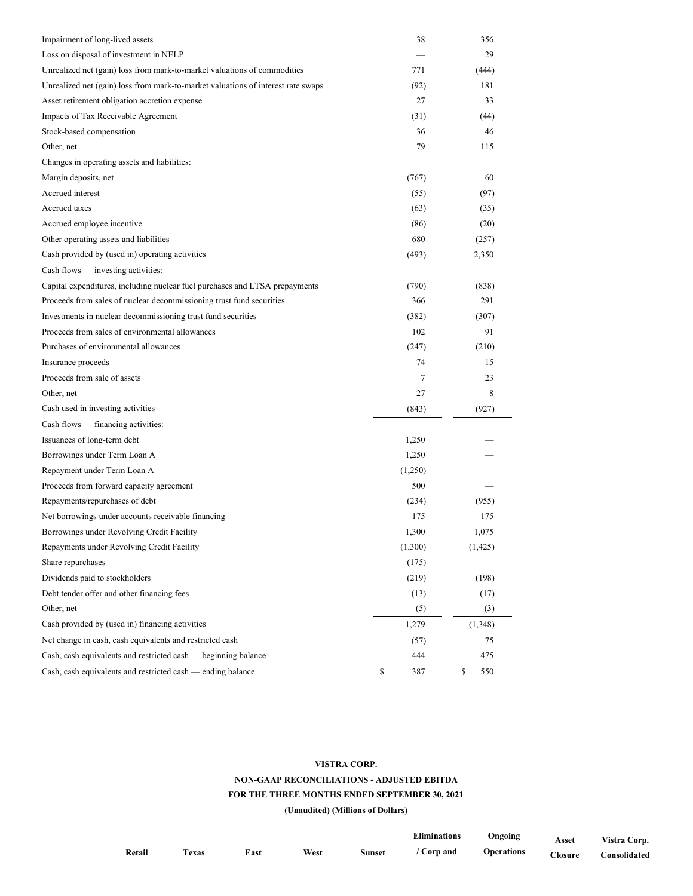| Impairment of long-lived assets                                                  | 38        | 356       |
|----------------------------------------------------------------------------------|-----------|-----------|
| Loss on disposal of investment in NELP                                           |           | 29        |
| Unrealized net (gain) loss from mark-to-market valuations of commodities         | 771       | (444)     |
| Unrealized net (gain) loss from mark-to-market valuations of interest rate swaps | (92)      | 181       |
| Asset retirement obligation accretion expense                                    | 27        | 33        |
| Impacts of Tax Receivable Agreement                                              | (31)      | (44)      |
| Stock-based compensation                                                         | 36        | 46        |
| Other, net                                                                       | 79        | 115       |
| Changes in operating assets and liabilities:                                     |           |           |
| Margin deposits, net                                                             | (767)     | 60        |
| Accrued interest                                                                 | (55)      | (97)      |
| Accrued taxes                                                                    | (63)      | (35)      |
| Accrued employee incentive                                                       | (86)      | (20)      |
| Other operating assets and liabilities                                           | 680       | (257)     |
| Cash provided by (used in) operating activities                                  | (493)     | 2,350     |
| Cash flows — investing activities:                                               |           |           |
| Capital expenditures, including nuclear fuel purchases and LTSA prepayments      | (790)     | (838)     |
| Proceeds from sales of nuclear decommissioning trust fund securities             | 366       | 291       |
| Investments in nuclear decommissioning trust fund securities                     | (382)     | (307)     |
| Proceeds from sales of environmental allowances                                  | 102       | 91        |
| Purchases of environmental allowances                                            | (247)     | (210)     |
| Insurance proceeds                                                               | 74        | 15        |
| Proceeds from sale of assets                                                     | 7         | 23        |
| Other, net                                                                       | 27        | 8         |
| Cash used in investing activities                                                | (843)     | (927)     |
| Cash flows — financing activities:                                               |           |           |
| Issuances of long-term debt                                                      | 1,250     |           |
| Borrowings under Term Loan A                                                     | 1,250     |           |
| Repayment under Term Loan A                                                      | (1,250)   |           |
| Proceeds from forward capacity agreement                                         | 500       |           |
| Repayments/repurchases of debt                                                   | (234)     | (955)     |
| Net borrowings under accounts receivable financing                               | 175       | 175       |
| Borrowings under Revolving Credit Facility                                       | 1,300     | 1,075     |
| Repayments under Revolving Credit Facility                                       | (1,300)   | (1, 425)  |
| Share repurchases                                                                | (175)     |           |
| Dividends paid to stockholders                                                   | (219)     | (198)     |
| Debt tender offer and other financing fees                                       | (13)      | (17)      |
| Other, net                                                                       | (5)       | (3)       |
| Cash provided by (used in) financing activities                                  | 1,279     | (1,348)   |
| Net change in cash, cash equivalents and restricted cash                         | (57)      | 75        |
| Cash, cash equivalents and restricted cash — beginning balance                   | 444       | 475       |
| Cash, cash equivalents and restricted cash — ending balance                      | \$<br>387 | \$<br>550 |
|                                                                                  |           |           |

# **VISTRA CORP.**

# **NON-GAAP RECONCILIATIONS - ADJUSTED EBITDA**

# **FOR THE THREE MONTHS ENDED SEPTEMBER 30, 2021**

|        |                   |      |      |               | <b>Eliminations</b> | Ongoing           | Asset   | Vistra Corp. |
|--------|-------------------|------|------|---------------|---------------------|-------------------|---------|--------------|
| Retail | T <sub>exas</sub> | East | West | <b>Sunset</b> | Corp and            | <b>Operations</b> | Closure | Consolidated |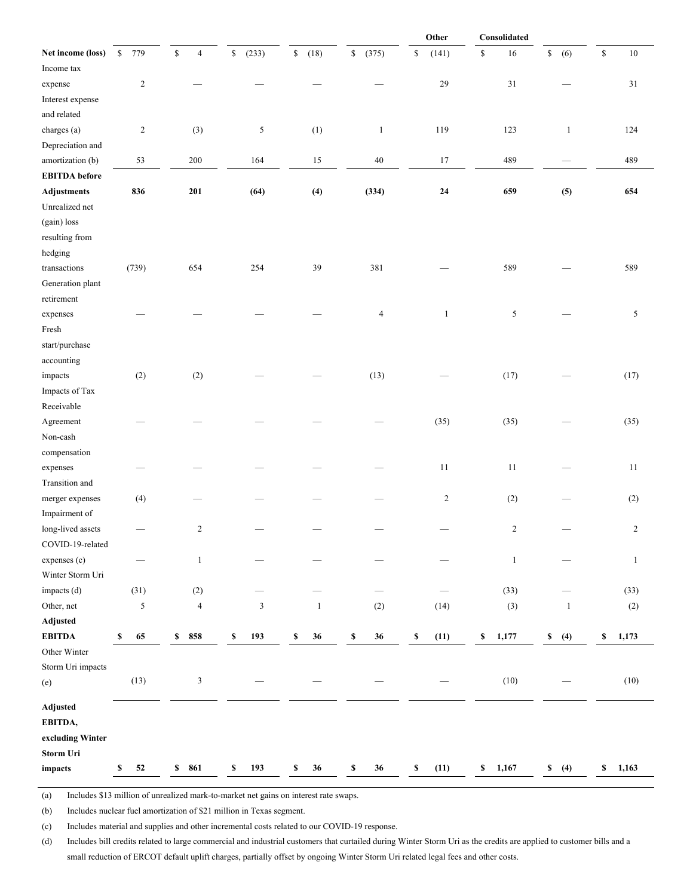|                      |            |                               |             |                     |                      | Other                | Consolidated      |                    |                        |
|----------------------|------------|-------------------------------|-------------|---------------------|----------------------|----------------------|-------------------|--------------------|------------------------|
| Net income (loss)    | 779<br>\$  | $\mathbb S$<br>$\overline{4}$ | \$<br>(233) | $\mathbb S$<br>(18) | $\mathbb S$<br>(375) | $\mathbb S$<br>(141) | $\mathbb S$<br>16 | \$<br>(6)          | $\mathbb{S}$<br>$10\,$ |
| Income tax           |            |                               |             |                     |                      |                      |                   |                    |                        |
| expense              | $\sqrt{2}$ |                               |             |                     |                      | $29\,$               | 31                |                    | $31\,$                 |
| Interest expense     |            |                               |             |                     |                      |                      |                   |                    |                        |
| and related          |            |                               |             |                     |                      |                      |                   |                    |                        |
| charges (a)          | $\sqrt{2}$ | (3)                           | $\sqrt{5}$  | (1)                 | $\mathbf{1}$         | 119                  | 123               | $\mathbf{1}$       | 124                    |
| Depreciation and     |            |                               |             |                     |                      |                      |                   |                    |                        |
| amortization (b)     | 53         | $200\,$                       | 164         | $15\,$              | $40\,$               | 17                   | 489               |                    | 489                    |
| <b>EBITDA</b> before |            |                               |             |                     |                      |                      |                   |                    |                        |
| <b>Adjustments</b>   | 836        | 201                           | (64)        | (4)                 | (334)                | ${\bf 24}$           | 659               | (5)                | 654                    |
| Unrealized net       |            |                               |             |                     |                      |                      |                   |                    |                        |
| (gain) loss          |            |                               |             |                     |                      |                      |                   |                    |                        |
| resulting from       |            |                               |             |                     |                      |                      |                   |                    |                        |
| hedging              |            |                               |             |                     |                      |                      |                   |                    |                        |
| transactions         | (739)      | 654                           | 254         | 39                  | 381                  |                      | 589               |                    | 589                    |
| Generation plant     |            |                               |             |                     |                      |                      |                   |                    |                        |
| retirement           |            |                               |             |                     |                      |                      |                   |                    |                        |
| expenses             |            |                               |             |                     | $\overline{4}$       | $\mathbf{1}$         | $\mathfrak{S}$    |                    | 5                      |
| Fresh                |            |                               |             |                     |                      |                      |                   |                    |                        |
| start/purchase       |            |                               |             |                     |                      |                      |                   |                    |                        |
| accounting           |            |                               |             |                     |                      |                      |                   |                    |                        |
| impacts              | (2)        | (2)                           |             |                     | (13)                 |                      | (17)              |                    | (17)                   |
| Impacts of Tax       |            |                               |             |                     |                      |                      |                   |                    |                        |
| Receivable           |            |                               |             |                     |                      |                      |                   |                    |                        |
| Agreement            |            |                               |             |                     |                      | (35)                 | (35)              |                    | (35)                   |
| Non-cash             |            |                               |             |                     |                      |                      |                   |                    |                        |
| compensation         |            |                               |             |                     |                      |                      |                   |                    |                        |
| expenses             |            |                               |             |                     |                      | $11\,$               | 11                |                    | 11                     |
| Transition and       |            |                               |             |                     |                      |                      |                   |                    |                        |
| merger expenses      | (4)        |                               |             |                     |                      | $\sqrt{2}$           | (2)               |                    | (2)                    |
| Impairment of        |            |                               |             |                     |                      |                      |                   |                    |                        |
| long-lived assets    |            | $\overline{c}$                |             |                     |                      |                      | $\overline{c}$    |                    | $\sqrt{2}$             |
| COVID-19-related     |            |                               |             |                     |                      |                      |                   |                    |                        |
| expenses (c)         |            | $\mathbf{1}$                  |             |                     |                      |                      | $\mathbf{1}$      |                    | $\mathbf{1}$           |
| Winter Storm Uri     |            |                               |             |                     |                      |                      |                   |                    |                        |
| impacts (d)          | (31)       | (2)                           |             |                     |                      |                      | (33)              |                    | (33)                   |
| Other, net           | $\sqrt{5}$ | $\overline{4}$                | $\sqrt{3}$  | $\mathbf{1}$        | (2)                  | (14)                 | (3)               | $\mathbf{1}$       | (2)                    |
| Adjusted             |            |                               |             |                     |                      |                      |                   |                    |                        |
| <b>EBITDA</b>        | 65<br>\$   | 858<br>\$                     | 193<br>\$   | \$<br>36            | \$<br>36             | \$<br>(11)           | \$<br>1,177       | $\mathbb S$<br>(4) | \$<br>1,173            |
| Other Winter         |            |                               |             |                     |                      |                      |                   |                    |                        |
| Storm Uri impacts    |            |                               |             |                     |                      |                      |                   |                    |                        |
| (e)                  | (13)       | $\mathfrak{Z}$                |             |                     |                      |                      | (10)              |                    | (10)                   |
| Adjusted             |            |                               |             |                     |                      |                      |                   |                    |                        |
| EBITDA,              |            |                               |             |                     |                      |                      |                   |                    |                        |
| excluding Winter     |            |                               |             |                     |                      |                      |                   |                    |                        |
| Storm Uri            |            |                               |             |                     |                      |                      |                   |                    |                        |
| impacts              | 52<br>\$   | 861<br>\$                     | 193<br>\$   | \$<br>36            | 36<br>\$             | \$<br>(11)           | \$<br>1,167       | \$<br>(4)          | \$<br>1,163            |
|                      |            |                               |             |                     |                      |                      |                   |                    |                        |

(a) Includes \$13 million of unrealized mark-to-market net gains on interest rate swaps.

(b) Includes nuclear fuel amortization of \$21 million in Texas segment.

(c) Includes material and supplies and other incremental costs related to our COVID-19 response.

(d) Includes bill credits related to large commercial and industrial customers that curtailed during Winter Storm Uri as the credits are applied to customer bills and a small reduction of ERCOT default uplift charges, partially offset by ongoing Winter Storm Uri related legal fees and other costs.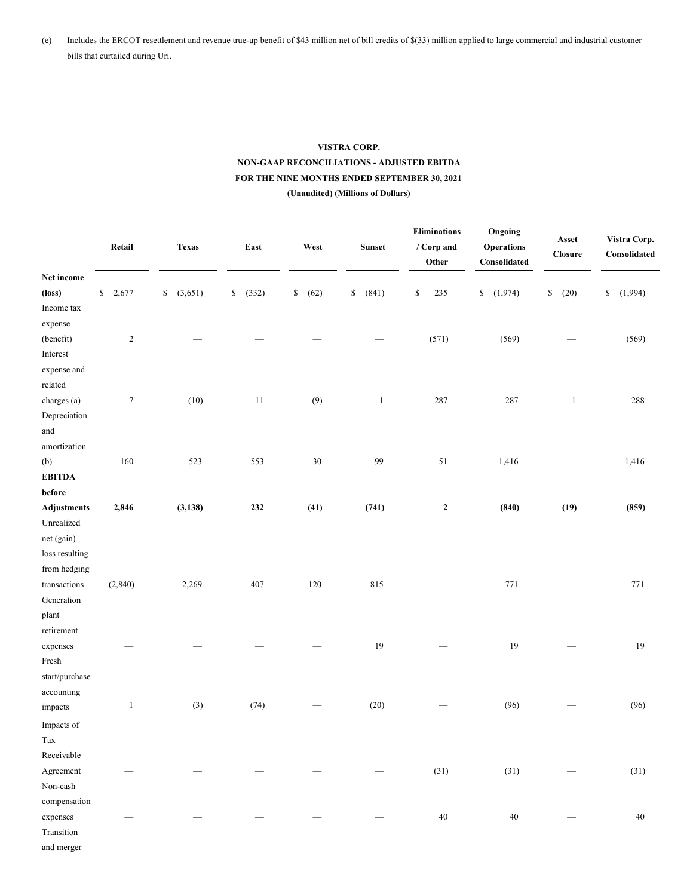(e) Includes the ERCOT resettlement and revenue true-up benefit of \$43 million net of bill credits of \$(33) million applied to large commercial and industrial customer bills that curtailed during Uri.

# **VISTRA CORP. NON-GAAP RECONCILIATIONS - ADJUSTED EBITDA FOR THE NINE MONTHS ENDED SEPTEMBER 30, 2021 (Unaudited) (Millions of Dollars)**

|                             | Retail               | Texas         | East        | West       | Sunset       | <b>Eliminations</b><br>/ Corp and<br>Other | Ongoing<br><b>Operations</b><br>$\label{thm:consolidated} {\bf Consider}$ | Asset<br>Closure | Vistra Corp.<br>Consolidated |
|-----------------------------|----------------------|---------------|-------------|------------|--------------|--------------------------------------------|---------------------------------------------------------------------------|------------------|------------------------------|
| Net income                  |                      |               |             |            |              |                                            |                                                                           |                  |                              |
| $(\text{loss})$             | $\mathbb S$<br>2,677 | (3,651)<br>\$ | (332)<br>\$ | (62)<br>\$ | (841)<br>\$  | \$<br>235                                  | \$<br>(1,974)                                                             | \$<br>(20)       | \$<br>(1,994)                |
| Income tax                  |                      |               |             |            |              |                                            |                                                                           |                  |                              |
| expense                     |                      |               |             |            |              |                                            |                                                                           |                  |                              |
| (benefit)                   | $\boldsymbol{2}$     |               |             |            |              | (571)                                      | (569)                                                                     |                  | (569)                        |
| Interest                    |                      |               |             |            |              |                                            |                                                                           |                  |                              |
| expense and                 |                      |               |             |            |              |                                            |                                                                           |                  |                              |
| related                     |                      |               |             |            |              |                                            |                                                                           |                  |                              |
| charges (a)                 | $\boldsymbol{7}$     | (10)          | 11          | (9)        | $\mathbf{1}$ | 287                                        | 287                                                                       | $\mathbf{1}$     | 288                          |
| Depreciation                |                      |               |             |            |              |                                            |                                                                           |                  |                              |
| and<br>amortization         |                      |               |             |            |              |                                            |                                                                           |                  |                              |
|                             | 160                  | 523           |             | $30\,$     | 99           | $51\,$                                     | 1,416                                                                     |                  | 1,416                        |
| (b)<br><b>EBITDA</b>        |                      |               | 553         |            |              |                                            |                                                                           |                  |                              |
| $\operatorname{\bf before}$ |                      |               |             |            |              |                                            |                                                                           |                  |                              |
| <b>Adjustments</b>          | 2,846                | (3, 138)      | 232         | (41)       | (741)        | $\boldsymbol{2}$                           | (840)                                                                     | (19)             | (859)                        |
| Unrealized                  |                      |               |             |            |              |                                            |                                                                           |                  |                              |
| net (gain)                  |                      |               |             |            |              |                                            |                                                                           |                  |                              |
| loss resulting              |                      |               |             |            |              |                                            |                                                                           |                  |                              |
| from hedging                |                      |               |             |            |              |                                            |                                                                           |                  |                              |
| transactions                | (2, 840)             | 2,269         | 407         | 120        | 815          |                                            | 771                                                                       |                  | 771                          |
| Generation                  |                      |               |             |            |              |                                            |                                                                           |                  |                              |
| plant                       |                      |               |             |            |              |                                            |                                                                           |                  |                              |
| retirement                  |                      |               |             |            |              |                                            |                                                                           |                  |                              |
| expenses                    |                      |               |             |            | 19           |                                            | 19                                                                        |                  | $19$                         |
| Fresh                       |                      |               |             |            |              |                                            |                                                                           |                  |                              |
| start/purchase              |                      |               |             |            |              |                                            |                                                                           |                  |                              |
| accounting                  |                      |               |             |            |              |                                            |                                                                           |                  |                              |
| impacts                     | $\mathbf{1}$         | (3)           | (74)        |            | (20)         |                                            | (96)                                                                      |                  | (96)                         |
| Impacts of                  |                      |               |             |            |              |                                            |                                                                           |                  |                              |
| Tax                         |                      |               |             |            |              |                                            |                                                                           |                  |                              |
| Receivable                  |                      |               |             |            |              |                                            |                                                                           |                  |                              |
| Agreement                   |                      |               |             |            |              | (31)                                       | (31)                                                                      |                  | (31)                         |
| Non-cash                    |                      |               |             |            |              |                                            |                                                                           |                  |                              |
| compensation                |                      |               |             |            |              |                                            |                                                                           |                  |                              |
| expenses                    |                      |               |             |            |              | $40\,$                                     | $40\,$                                                                    |                  | 40                           |
| Transition                  |                      |               |             |            |              |                                            |                                                                           |                  |                              |
| and merger                  |                      |               |             |            |              |                                            |                                                                           |                  |                              |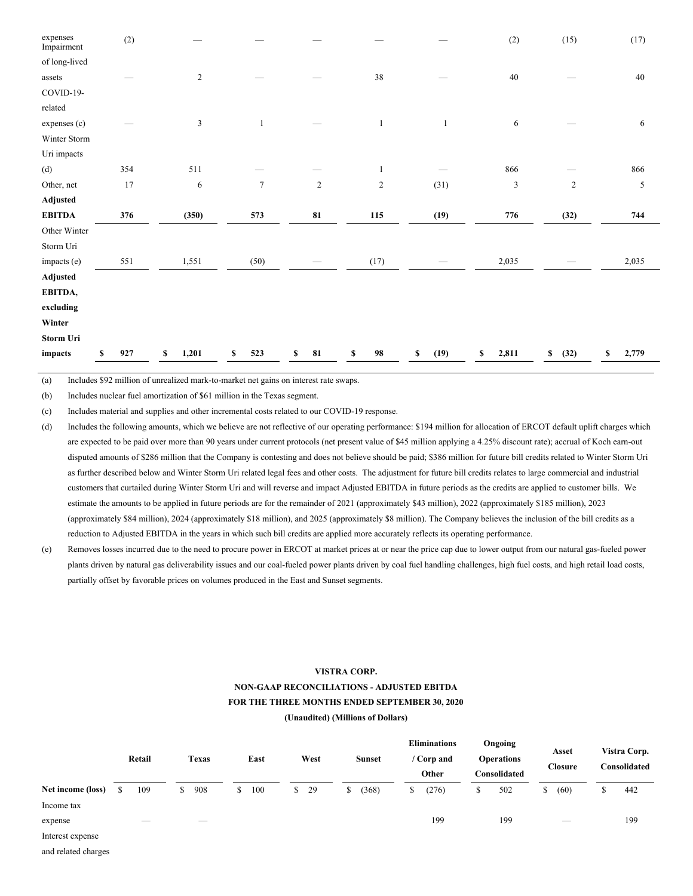| expenses<br>Impairment | (2)       |             |              |            |                |              | (2)         | (15)       | (17)        |
|------------------------|-----------|-------------|--------------|------------|----------------|--------------|-------------|------------|-------------|
| of long-lived          |           |             |              |            |                |              |             |            |             |
| assets                 |           | $\sqrt{2}$  |              |            | 38             |              | 40          |            | 40          |
| COVID-19-              |           |             |              |            |                |              |             |            |             |
| related                |           |             |              |            |                |              |             |            |             |
| expenses (c)           |           | 3           | $\mathbf{1}$ |            | $\mathbf{1}$   | $\mathbf{1}$ | 6           |            | 6           |
| Winter Storm           |           |             |              |            |                |              |             |            |             |
| Uri impacts            |           |             |              |            |                |              |             |            |             |
| (d)                    | 354       | 511         |              |            | 1              |              | 866         |            | 866         |
| Other, net             | 17        | $\sqrt{6}$  | $\tau$       | $\sqrt{2}$ | $\overline{c}$ | (31)         | 3           | $\sqrt{2}$ | 5           |
| Adjusted               |           |             |              |            |                |              |             |            |             |
| <b>EBITDA</b>          | 376       | (350)       | 573          | 81         | 115            | (19)         | 776         | (32)       | 744         |
| Other Winter           |           |             |              |            |                |              |             |            |             |
| Storm Uri              |           |             |              |            |                |              |             |            |             |
| impacts (e)            | 551       | 1,551       | (50)         |            | (17)           |              | 2,035       |            | 2,035       |
| Adjusted               |           |             |              |            |                |              |             |            |             |
| EBITDA,                |           |             |              |            |                |              |             |            |             |
| excluding              |           |             |              |            |                |              |             |            |             |
| Winter                 |           |             |              |            |                |              |             |            |             |
| Storm Uri              |           |             |              |            |                |              |             |            |             |
| impacts                | 927<br>\$ | 1,201<br>\$ | \$<br>523    | 81<br>S    | 98<br>\$       | (19)<br>\$   | 2,811<br>\$ | \$<br>(32) | \$<br>2,779 |

(a) Includes \$92 million of unrealized mark-to-market net gains on interest rate swaps.

(b) Includes nuclear fuel amortization of \$61 million in the Texas segment.

(c) Includes material and supplies and other incremental costs related to our COVID-19 response.

(d) Includes the following amounts, which we believe are not reflective of our operating performance: \$194 million for allocation of ERCOT default uplift charges which are expected to be paid over more than 90 years under current protocols (net present value of \$45 million applying a 4.25% discount rate); accrual of Koch earn-out disputed amounts of \$286 million that the Company is contesting and does not believe should be paid; \$386 million for future bill credits related to Winter Storm Uri as further described below and Winter Storm Uri related legal fees and other costs. The adjustment for future bill credits relates to large commercial and industrial customers that curtailed during Winter Storm Uri and will reverse and impact Adjusted EBITDA in future periods as the credits are applied to customer bills. We estimate the amounts to be applied in future periods are for the remainder of 2021 (approximately \$43 million), 2022 (approximately \$185 million), 2023 (approximately \$84 million), 2024 (approximately \$18 million), and 2025 (approximately \$8 million). The Company believes the inclusion of the bill credits as a reduction to Adjusted EBITDA in the years in which such bill credits are applied more accurately reflects its operating performance.

(e) Removes losses incurred due to the need to procure power in ERCOT at market prices at or near the price cap due to lower output from our natural gas-fueled power plants driven by natural gas deliverability issues and our coal-fueled power plants driven by coal fuel handling challenges, high fuel costs, and high retail load costs, partially offset by favorable prices on volumes produced in the East and Sunset segments.

# **VISTRA CORP. NON-GAAP RECONCILIATIONS - ADJUSTED EBITDA FOR THE THREE MONTHS ENDED SEPTEMBER 30, 2020 (Unaudited) (Millions of Dollars)**

|                   | Retail                   | <b>Texas</b> | East      |              | West |   | <b>Sunset</b> | <b>Eliminations</b><br>/ Corp and<br>Other |   | Ongoing<br><b>Operations</b><br>Consolidated |   | Asset<br><b>Closure</b>        |   | Vistra Corp.<br>Consolidated |
|-------------------|--------------------------|--------------|-----------|--------------|------|---|---------------|--------------------------------------------|---|----------------------------------------------|---|--------------------------------|---|------------------------------|
| Net income (loss) | 109                      | \$<br>908    | \$<br>100 | <sup>S</sup> | 29   | S | (368)         | \$<br>(276)                                | S | 502                                          | S | (60)                           | Φ | 442                          |
| Income tax        |                          |              |           |              |      |   |               |                                            |   |                                              |   |                                |   |                              |
| expense           | $\overline{\phantom{a}}$ | $-$          |           |              |      |   |               | 199                                        |   | 199                                          |   | $\overbrace{\hspace{25mm}}^{}$ |   | 199                          |
| Interest expense  |                          |              |           |              |      |   |               |                                            |   |                                              |   |                                |   |                              |

and related charges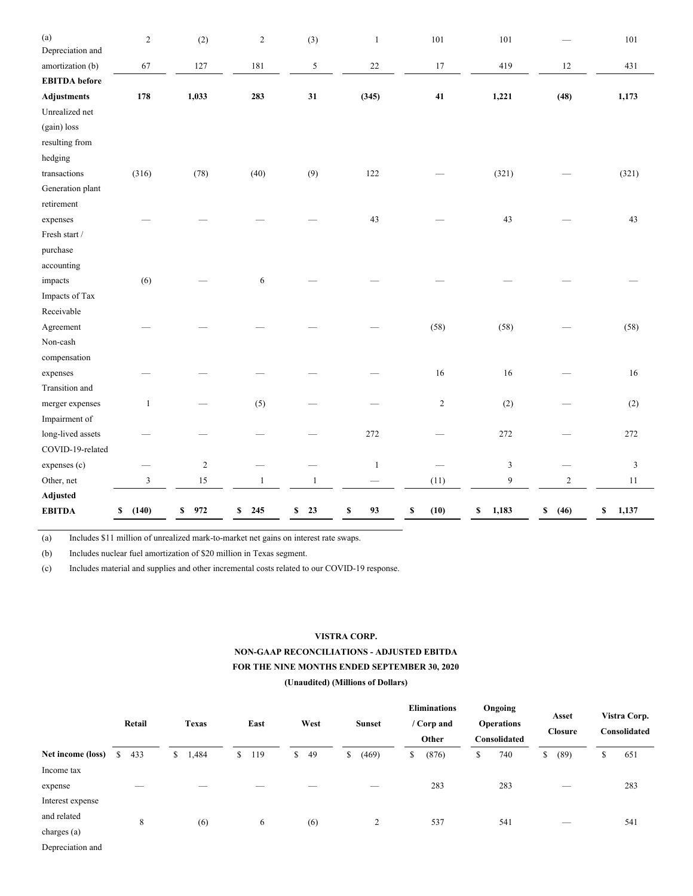| (a)<br>Depreciation and | $\sqrt{2}$  | (2)              | $\overline{c}$ | (3)          | $\mathbf{1}$    | 101        | 101         |            | 101           |
|-------------------------|-------------|------------------|----------------|--------------|-----------------|------------|-------------|------------|---------------|
| amortization (b)        | 67          | 127              | 181            | 5            | $22\,$          | 17         | 419         | $12\,$     | 431           |
| <b>EBITDA</b> before    |             |                  |                |              |                 |            |             |            |               |
| <b>Adjustments</b>      | 178         | 1,033            | 283            | 31           | (345)           | $\bf 41$   | 1,221       | (48)       | 1,173         |
| Unrealized net          |             |                  |                |              |                 |            |             |            |               |
| (gain) loss             |             |                  |                |              |                 |            |             |            |               |
| resulting from          |             |                  |                |              |                 |            |             |            |               |
| hedging                 |             |                  |                |              |                 |            |             |            |               |
| transactions            | (316)       | (78)             | (40)           | (9)          | 122             |            | (321)       |            | (321)         |
| Generation plant        |             |                  |                |              |                 |            |             |            |               |
| retirement              |             |                  |                |              |                 |            |             |            |               |
| expenses                |             |                  |                |              | 43              |            | 43          |            | 43            |
| Fresh start /           |             |                  |                |              |                 |            |             |            |               |
| purchase                |             |                  |                |              |                 |            |             |            |               |
| accounting              |             |                  |                |              |                 |            |             |            |               |
| impacts                 | (6)         |                  | 6              |              |                 |            |             |            |               |
| Impacts of Tax          |             |                  |                |              |                 |            |             |            |               |
| Receivable              |             |                  |                |              |                 |            |             |            |               |
| Agreement               |             |                  |                |              |                 | (58)       | (58)        |            | (58)          |
| Non-cash                |             |                  |                |              |                 |            |             |            |               |
| compensation            |             |                  |                |              |                 |            |             |            |               |
| expenses                |             |                  |                |              |                 | 16         | 16          |            | 16            |
| Transition and          |             |                  |                |              |                 |            |             |            |               |
| merger expenses         | 1           |                  | (5)            |              |                 | $\sqrt{2}$ | (2)         |            | (2)           |
| Impairment of           |             |                  |                |              |                 |            |             |            |               |
| long-lived assets       |             |                  |                |              | 272             |            | 272         |            | 272           |
| COVID-19-related        |             |                  |                |              |                 |            |             |            |               |
| expenses (c)            |             | $\boldsymbol{2}$ |                |              | $\mathbf{1}$    |            | 3           |            | $\mathfrak z$ |
| Other, net              | 3           | 15               | $\mathbf{1}$   | $\mathbf{1}$ | $\qquad \qquad$ | (11)       | 9           | $\sqrt{2}$ | 11            |
| Adjusted                |             |                  |                |              |                 |            |             |            |               |
| <b>EBITDA</b>           | (140)<br>\$ | 972<br>\$        | \$<br>245      | \$<br>23     | 93<br>\$        | (10)<br>\$ | 1,183<br>\$ | \$<br>(46) | 1,137<br>\$   |

(a) Includes \$11 million of unrealized mark-to-market net gains on interest rate swaps.

(b) Includes nuclear fuel amortization of \$20 million in Texas segment.

(c) Includes material and supplies and other incremental costs related to our COVID-19 response.

## **VISTRA CORP.**

# **NON-GAAP RECONCILIATIONS - ADJUSTED EBITDA FOR THE NINE MONTHS ENDED SEPTEMBER 30, 2020 (Unaudited) (Millions of Dollars)**

|                   | Retail   | West<br><b>Texas</b><br>East<br><b>Sunset</b><br>Other |           | <b>Eliminations</b><br>/ Corp and | Ongoing<br><b>Operations</b><br>Consolidated | Asset<br><b>Closure</b> | Vistra Corp.<br>Consolidated |                                |           |  |
|-------------------|----------|--------------------------------------------------------|-----------|-----------------------------------|----------------------------------------------|-------------------------|------------------------------|--------------------------------|-----------|--|
| Net income (loss) | S<br>433 | 1,484<br>\$                                            | \$<br>119 | 49<br>S.                          | (469)<br>\$                                  | (876)<br>\$             | 740<br>\$                    | (89)<br>\$                     | 651<br>\$ |  |
| Income tax        |          |                                                        |           |                                   |                                              |                         |                              |                                |           |  |
| expense           | _        |                                                        |           |                                   | $-$                                          | 283                     | 283                          | $\overline{\phantom{a}}$       | 283       |  |
| Interest expense  |          |                                                        |           |                                   |                                              |                         |                              |                                |           |  |
| and related       | 8        | (6)                                                    | 6         | (6)                               | 2                                            | 537                     | 541                          | $\overbrace{\hspace{25mm}}^{}$ | 541       |  |
| charges (a)       |          |                                                        |           |                                   |                                              |                         |                              |                                |           |  |
| Depreciation and  |          |                                                        |           |                                   |                                              |                         |                              |                                |           |  |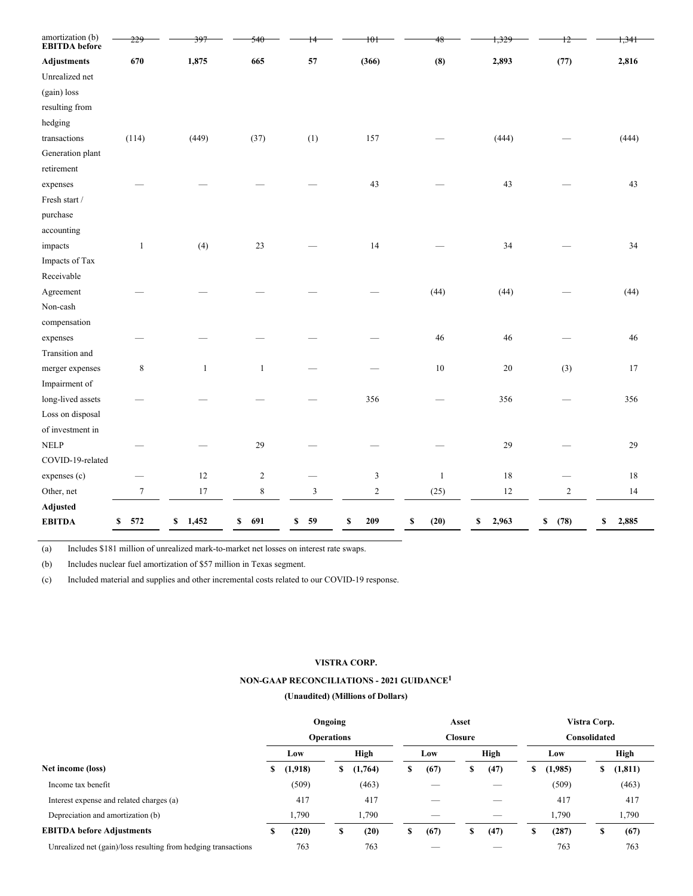| amortization (b)<br><b>EBITDA</b> before |                |              | 54(          |                | 101           |              |             |                | <del>1,341</del> |
|------------------------------------------|----------------|--------------|--------------|----------------|---------------|--------------|-------------|----------------|------------------|
| <b>Adjustments</b>                       | 670            | 1,875        | 665          | 57             | (366)         | (8)          | 2,893       | (77)           | 2,816            |
| Unrealized net                           |                |              |              |                |               |              |             |                |                  |
| (gain) loss                              |                |              |              |                |               |              |             |                |                  |
| resulting from                           |                |              |              |                |               |              |             |                |                  |
| hedging                                  |                |              |              |                |               |              |             |                |                  |
| transactions                             | (114)          | (449)        | (37)         | (1)            | 157           |              | (444)       |                | (444)            |
| Generation plant                         |                |              |              |                |               |              |             |                |                  |
| retirement                               |                |              |              |                |               |              |             |                |                  |
| expenses                                 |                |              |              |                | 43            |              | 43          |                | 43               |
| Fresh start $\prime$                     |                |              |              |                |               |              |             |                |                  |
| purchase                                 |                |              |              |                |               |              |             |                |                  |
| accounting                               |                |              |              |                |               |              |             |                |                  |
| impacts                                  | $\mathbf{1}$   | (4)          | $23\,$       |                | 14            |              | 34          |                | 34               |
| Impacts of Tax                           |                |              |              |                |               |              |             |                |                  |
| Receivable                               |                |              |              |                |               |              |             |                |                  |
| Agreement                                |                |              |              |                |               | (44)         | (44)        |                | (44)             |
| Non-cash                                 |                |              |              |                |               |              |             |                |                  |
| compensation                             |                |              |              |                |               |              |             |                |                  |
| expenses                                 |                |              |              |                |               | 46           | 46          |                | 46               |
| Transition and                           |                |              |              |                |               |              |             |                |                  |
| merger expenses                          | $\,$ 8 $\,$    | $\mathbf{1}$ | $\mathbf{1}$ |                |               | $10\,$       | 20          | (3)            | 17               |
| Impairment of                            |                |              |              |                |               |              |             |                |                  |
| long-lived assets                        |                |              |              |                | 356           |              | 356         |                | 356              |
| Loss on disposal                         |                |              |              |                |               |              |             |                |                  |
| of investment in                         |                |              |              |                |               |              |             |                |                  |
| <b>NELP</b>                              |                |              | 29           |                |               |              | 29          |                | 29               |
| COVID-19-related                         |                |              |              |                |               |              |             |                |                  |
| expenses (c)                             |                | 12           | $\sqrt{2}$   |                | $\mathfrak z$ | $\mathbf{1}$ | 18          |                | $18\,$           |
| Other, net                               | $\overline{7}$ | 17           | 8            | $\mathfrak{Z}$ | $\mathbf{2}$  | (25)         | 12          | $\overline{c}$ | 14               |
| Adjusted                                 |                |              |              |                |               |              |             |                |                  |
| <b>EBITDA</b>                            | 572<br>\$      | 1,452<br>\$  | 691<br>\$    | 59<br>\$       | 209<br>\$     | (20)<br>\$   | 2,963<br>\$ | (78)<br>\$     | 2,885<br>\$      |

(a) Includes \$181 million of unrealized mark-to-market net losses on interest rate swaps.

(b) Includes nuclear fuel amortization of \$57 million in Texas segment.

(c) Included material and supplies and other incremental costs related to our COVID-19 response.

### **VISTRA CORP.**

### **NON-GAAP RECONCILIATIONS - 2021 GUIDANCE 1**

|                                                                | Ongoing           |         |    |             |   |      | Asset          |      | Vistra Corp. |         |   |             |  |
|----------------------------------------------------------------|-------------------|---------|----|-------------|---|------|----------------|------|--------------|---------|---|-------------|--|
|                                                                | <b>Operations</b> |         |    |             |   |      | <b>Closure</b> |      | Consolidated |         |   |             |  |
| Net income (loss)                                              |                   | Low     |    | <b>High</b> |   | Low  |                | High |              | Low     |   | <b>High</b> |  |
|                                                                |                   | (1,918) | \$ | (1,764)     | s | (67) | s              | (47) | S            | (1,985) | S | (1, 811)    |  |
| Income tax benefit                                             |                   | (509)   |    | (463)       |   |      |                |      |              | (509)   |   | (463)       |  |
| Interest expense and related charges (a)                       |                   | 417     |    | 417         |   |      |                |      |              | 417     |   | 417         |  |
| Depreciation and amortization (b)                              |                   | 1,790   |    | 1,790       |   |      |                |      |              | 1,790   |   | 1,790       |  |
| <b>EBITDA</b> before Adjustments                               | \$                | (220)   | \$ | (20)        | S | (67) | S              | (47) | S            | (287)   | S | (67)        |  |
| Unrealized net (gain)/loss resulting from hedging transactions |                   | 763     |    | 763         |   |      |                |      |              | 763     |   | 763         |  |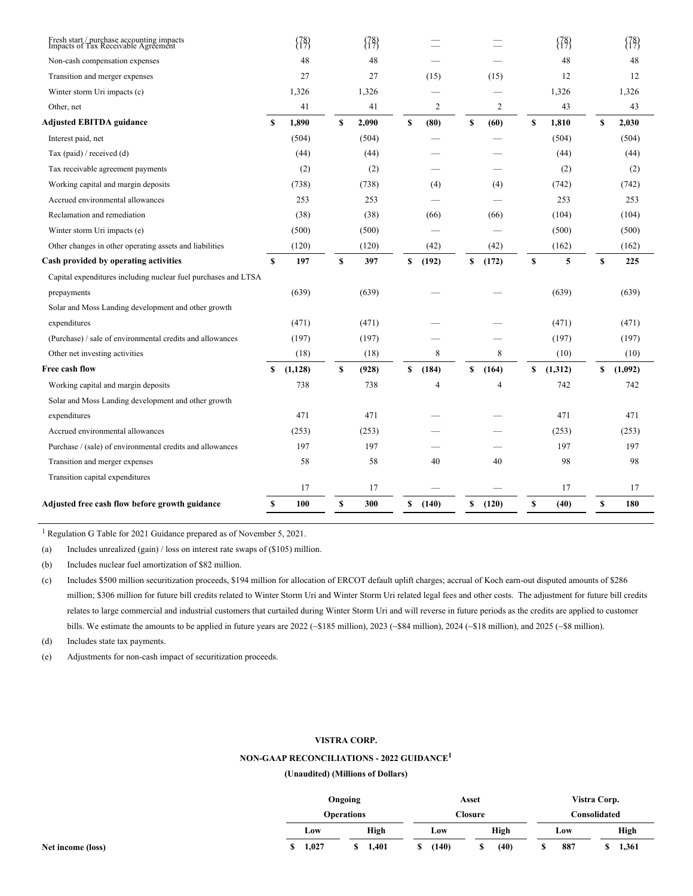| Adjusted free cash flow before growth guidance                                                      | S            | 100              | \$ | 300              | \$           | (140) | \$           | (120)          | \$ | (40)    | \$           | 180     |
|-----------------------------------------------------------------------------------------------------|--------------|------------------|----|------------------|--------------|-------|--------------|----------------|----|---------|--------------|---------|
|                                                                                                     |              | 17               |    | 17               |              |       |              |                |    | 17      |              | 17      |
| Transition capital expenditures                                                                     |              |                  |    |                  |              |       |              |                |    |         |              |         |
| Transition and merger expenses                                                                      |              | 58               |    | 58               |              | 40    |              | 40             |    | 98      |              | 98      |
| Purchase / (sale) of environmental credits and allowances                                           |              | 197              |    | 197              |              |       |              |                |    | 197     |              | 197     |
| Accrued environmental allowances                                                                    |              | (253)            |    | (253)            |              |       |              |                |    | (253)   |              | (253)   |
| expenditures                                                                                        |              | 471              |    | 471              |              |       |              |                |    | 471     |              | 471     |
| Solar and Moss Landing development and other growth                                                 |              |                  |    |                  |              |       |              |                |    |         |              |         |
| Working capital and margin deposits                                                                 |              | 738              |    | 738              |              | 4     |              | $\overline{4}$ |    | 742     |              | 742     |
| Free cash flow                                                                                      | S            | (1, 128)         | \$ | (928)            | $\mathbf{s}$ | (184) | $\mathbf{s}$ | (164)          | \$ | (1,312) | $\mathbf{s}$ | (1,092) |
| Other net investing activities                                                                      |              | (18)             |    | (18)             |              | 8     |              | 8              |    | (10)    |              | (10)    |
| (Purchase) / sale of environmental credits and allowances                                           |              | (197)            |    | (197)            |              |       |              |                |    | (197)   |              | (197)   |
| expenditures                                                                                        |              | (471)            |    | (471)            |              |       |              |                |    | (471)   |              | (471)   |
| Solar and Moss Landing development and other growth                                                 |              |                  |    |                  |              |       |              |                |    |         |              |         |
| prepayments                                                                                         |              | (639)            |    | (639)            |              |       |              |                |    | (639)   |              | (639)   |
| Capital expenditures including nuclear fuel purchases and LTSA                                      |              |                  |    |                  |              |       |              |                |    |         |              |         |
| Cash provided by operating activities                                                               | $\mathbf{s}$ | 197              | \$ | 397              | S            | (192) | S            | (172)          | S  | 5       | \$           | 225     |
| Other changes in other operating assets and liabilities                                             |              | (120)            |    | (120)            |              | (42)  |              | (42)           |    | (162)   |              | (162)   |
| Winter storm Uri impacts (e)                                                                        |              | (500)            |    | (500)            |              |       |              |                |    | (500)   |              | (500)   |
| Reclamation and remediation                                                                         |              | (38)             |    | (38)             |              | (66)  |              | (66)           |    | (104)   |              | (104)   |
| Accrued environmental allowances                                                                    |              | 253              |    | 253              |              |       |              |                |    | 253     |              | 253     |
| Working capital and margin deposits                                                                 |              | (738)            |    | (738)            |              | (4)   |              | (4)            |    | (742)   |              | (742)   |
| Tax receivable agreement payments                                                                   |              | (2)              |    | (2)              |              |       |              |                |    | (2)     |              | (2)     |
| Tax (paid) / received (d)                                                                           |              | (44)             |    | (44)             |              |       |              |                |    | (44)    |              | (44)    |
| Interest paid, net                                                                                  |              | (504)            |    | (504)            |              |       |              |                |    | (504)   |              | (504)   |
| <b>Adjusted EBITDA guidance</b>                                                                     | S            | 1,890            | S  | 2,090            | S            | (80)  | S            | (60)           | S  | 1,810   | \$           | 2,030   |
| Other, net                                                                                          |              | 41               |    | 41               |              | 2     |              | 2              |    | 43      |              | 43      |
| Winter storm Uri impacts (c)                                                                        |              | 1,326            |    | 1,326            |              |       |              |                |    | 1,326   |              | 1,326   |
| Transition and merger expenses                                                                      |              | 27               |    | 27               |              | (15)  |              | (15)           |    | 12      |              | 12      |
| Non-cash compensation expenses                                                                      |              | 48               |    | 48               |              |       |              |                |    | 48      |              | 48      |
| ${\rm Fresh \ start} / {\rm purchase \ according \ impacts}$<br>Impacts of Tax Receivable Agreement |              | $\binom{78}{17}$ |    | $\binom{78}{17}$ |              |       |              |                |    | (78)    |              | {78}    |

<sup>1</sup> Regulation G Table for 2021 Guidance prepared as of November 5, 2021.

(a) Includes unrealized (gain) / loss on interest rate swaps of (\$105) million.

(b) Includes nuclear fuel amortization of \$82 million.

(c) Includes \$500 million securitization proceeds, \$194 million for allocation of ERCOT default uplift charges; accrual of Koch earn-out disputed amounts of \$286 million; \$306 million for future bill credits related to Winter Storm Uri and Winter Storm Uri related legal fees and other costs. The adjustment for future bill credits relates to large commercial and industrial customers that curtailed during Winter Storm Uri and will reverse in future periods as the credits are applied to customer bills. We estimate the amounts to be applied in future years are 2022 (~\$185 million), 2023 (~\$84 million), 2024 (~\$18 million), and 2025 (~\$8 million).

(d) Includes state tax payments.

(e) Adjustments for non-cash impact of securitization proceeds.

## **VISTRA CORP.**

## **NON-GAAP RECONCILIATIONS - 2022 GUIDANCE 1**

|                   |       | Ongoing           |       | Asset       | Vistra Corp. |       |  |  |  |
|-------------------|-------|-------------------|-------|-------------|--------------|-------|--|--|--|
|                   |       | <b>Operations</b> |       | Closure     | Consolidated |       |  |  |  |
|                   | Low   | High              | Low   | <b>High</b> | Low          | High  |  |  |  |
| Net income (loss) | 1,027 | 1,401             | (140) | (40)        | 887          | 1,361 |  |  |  |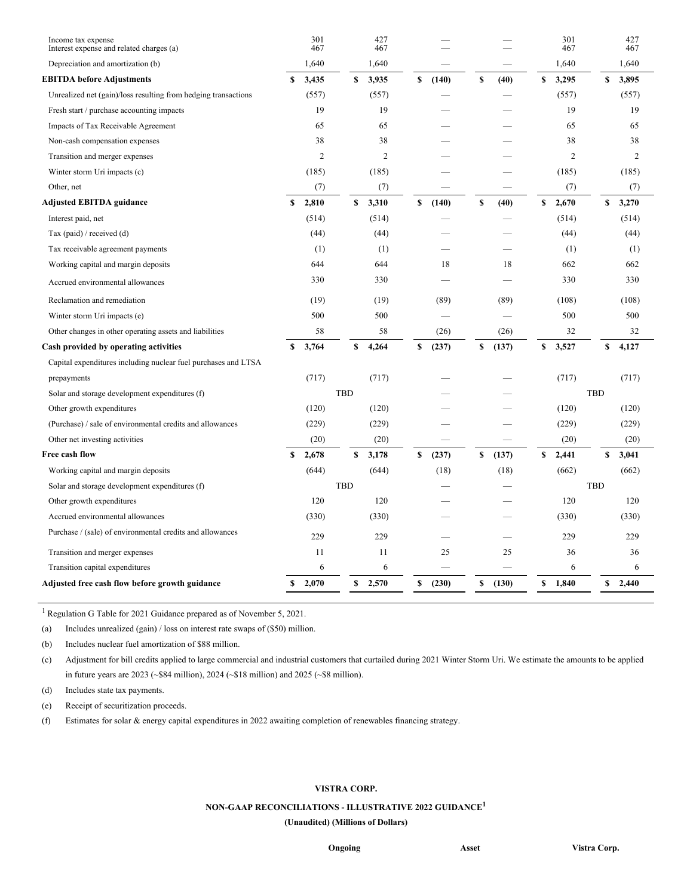| Income tax expense<br>Interest expense and related charges (a) |    | 301<br>467     |            | 427<br>467     |             |    |       |    | 301<br>467     |     | 427<br>467     |  |
|----------------------------------------------------------------|----|----------------|------------|----------------|-------------|----|-------|----|----------------|-----|----------------|--|
| Depreciation and amortization (b)                              |    | 1,640          |            | 1,640          |             |    |       |    | 1,640          |     | 1,640          |  |
| <b>EBITDA before Adjustments</b>                               | S  | 3,435          | S          | 3,935          | \$<br>(140) | \$ | (40)  | \$ | 3,295          | S   | 3,895          |  |
| Unrealized net (gain)/loss resulting from hedging transactions |    | (557)          |            | (557)          |             |    |       |    | (557)          |     | (557)          |  |
| Fresh start / purchase accounting impacts                      |    | 19             |            | 19             |             |    |       |    | 19             |     | 19             |  |
| Impacts of Tax Receivable Agreement                            |    | 65             |            | 65             |             |    |       |    | 65             |     | 65             |  |
| Non-cash compensation expenses                                 |    | 38             |            | 38             |             |    |       |    | 38             |     | 38             |  |
| Transition and merger expenses                                 |    | $\overline{c}$ |            | $\overline{c}$ |             |    |       |    | $\overline{2}$ |     | $\overline{2}$ |  |
| Winter storm Uri impacts (c)                                   |    | (185)          |            | (185)          |             |    |       |    | (185)          |     | (185)          |  |
| Other, net                                                     |    | (7)            |            | (7)            |             |    |       |    | (7)            |     | (7)            |  |
| <b>Adjusted EBITDA guidance</b>                                | \$ | 2,810          | \$         | 3,310          | \$<br>(140) | \$ | (40)  | \$ | 2,670          | \$  | 3,270          |  |
| Interest paid, net                                             |    | (514)          |            | (514)          |             |    |       |    | (514)          |     | (514)          |  |
| Tax (paid) / received (d)                                      |    | (44)           |            | (44)           |             |    |       |    | (44)           |     | (44)           |  |
| Tax receivable agreement payments                              |    | (1)            |            | (1)            |             |    |       |    | (1)            |     | (1)            |  |
| Working capital and margin deposits                            |    | 644            |            | 644            | 18          |    | 18    |    | 662            |     | 662            |  |
| Accrued environmental allowances                               |    | 330            |            | 330            |             |    |       |    | 330            |     | 330            |  |
| Reclamation and remediation                                    |    | (19)           |            | (19)           | (89)        |    | (89)  |    | (108)          |     | (108)          |  |
| Winter storm Uri impacts (e)                                   |    | 500            |            | 500            |             |    |       |    | 500            |     | 500            |  |
| Other changes in other operating assets and liabilities        |    | 58             |            | 58             | (26)        |    | (26)  |    | 32             |     | 32             |  |
| Cash provided by operating activities                          | \$ | 3,764          | \$         | 4,264          | \$<br>(237) | \$ | (137) | \$ | 3,527          | \$  | 4,127          |  |
| Capital expenditures including nuclear fuel purchases and LTSA |    |                |            |                |             |    |       |    |                |     |                |  |
| prepayments                                                    |    | (717)          |            | (717)          |             |    |       |    | (717)          |     | (717)          |  |
| Solar and storage development expenditures (f)                 |    |                | TBD        |                |             |    |       |    |                | TBD |                |  |
| Other growth expenditures                                      |    | (120)          |            | (120)          |             |    |       |    | (120)          |     | (120)          |  |
| (Purchase) / sale of environmental credits and allowances      |    | (229)          |            | (229)          |             |    |       |    | (229)          |     | (229)          |  |
| Other net investing activities                                 |    | (20)           |            | (20)           |             |    |       |    | (20)           |     | (20)           |  |
| Free cash flow                                                 | \$ | 2,678          | S          | 3,178          | \$<br>(237) | \$ | (137) | \$ | 2,441          | S   | 3,041          |  |
| Working capital and margin deposits                            |    | (644)          |            | (644)          | (18)        |    | (18)  |    | (662)          |     | (662)          |  |
| Solar and storage development expenditures (f)                 |    |                | <b>TBD</b> |                |             |    |       |    |                | TBD |                |  |
| Other growth expenditures                                      |    | 120            |            | 120            |             |    |       |    | 120            |     | 120            |  |
| Accrued environmental allowances                               |    | (330)          |            | (330)          |             |    |       |    | (330)          |     | (330)          |  |
| Purchase / (sale) of environmental credits and allowances      |    | 229            |            | 229            |             |    |       |    | 229            |     | 229            |  |
| Transition and merger expenses                                 |    | 11             |            | 11             | 25          |    | 25    |    | 36             |     | 36             |  |
| Transition capital expenditures                                |    | 6              |            | 6              |             |    |       |    | 6              |     | 6              |  |
| Adjusted free cash flow before growth guidance                 | S  | 2,070          | \$         | 2,570          | \$<br>(230) | \$ | (130) | \$ | 1,840          | \$  | 2,440          |  |
|                                                                |    |                |            |                |             |    |       |    |                |     |                |  |

<sup>1</sup> Regulation G Table for 2021 Guidance prepared as of November 5, 2021.

(a) Includes unrealized (gain) / loss on interest rate swaps of (\$50) million.

(b) Includes nuclear fuel amortization of \$88 million.

(c) Adjustment for bill credits applied to large commercial and industrial customers that curtailed during 2021 Winter Storm Uri. We estimate the amounts to be applied in future years are 2023 (~\$84 million), 2024 (~\$18 million) and 2025 (~\$8 million).

(d) Includes state tax payments.

(e) Receipt of securitization proceeds.

(f) Estimates for solar & energy capital expenditures in 2022 awaiting completion of renewables financing strategy.

## **VISTRA CORP.**

## **NON-GAAP RECONCILIATIONS - ILLUSTRATIVE 2022 GUIDANCE 1**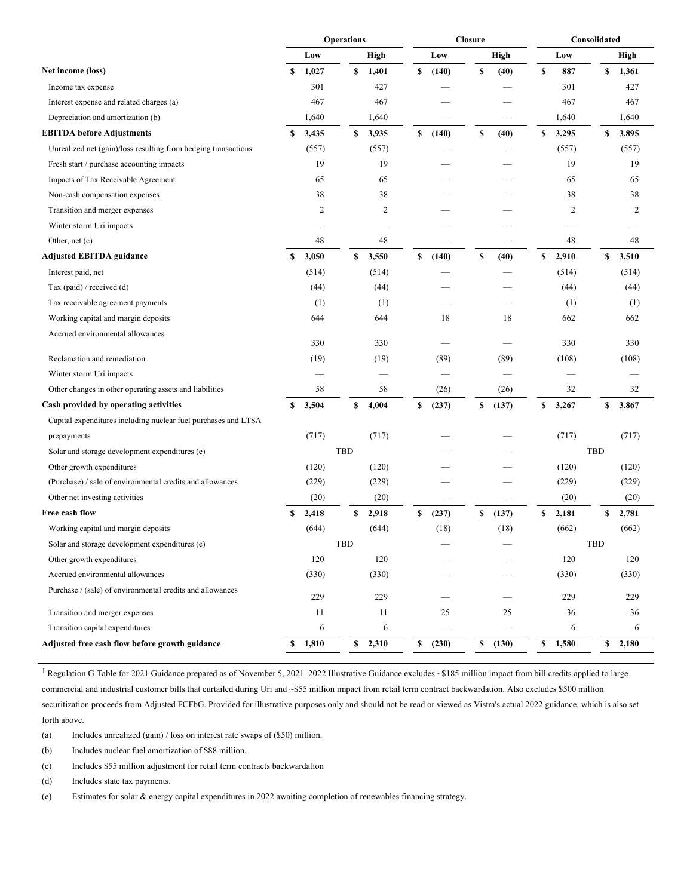|                                                                | <b>Operations</b> |                |            |         | <b>Closure</b> |    |       | Consolidated |     |                |  |
|----------------------------------------------------------------|-------------------|----------------|------------|---------|----------------|----|-------|--------------|-----|----------------|--|
|                                                                |                   | Low            |            | High    | Low            |    | High  | Low          |     | High           |  |
| Net income (loss)                                              | S                 | 1,027          | \$         | 1,401   | \$<br>(140)    | \$ | (40)  | \$<br>887    | \$  | 1,361          |  |
| Income tax expense                                             |                   | 301            |            | 427     |                |    |       | 301          |     | 427            |  |
| Interest expense and related charges (a)                       |                   | 467            |            | 467     |                |    |       | 467          |     | 467            |  |
| Depreciation and amortization (b)                              |                   | 1,640          |            | 1,640   |                |    |       | 1,640        |     | 1,640          |  |
| <b>EBITDA</b> before Adjustments                               | S                 | 3,435          | \$         | 3,935   | \$<br>(140)    | \$ | (40)  | \$<br>3,295  | S   | 3,895          |  |
| Unrealized net (gain)/loss resulting from hedging transactions |                   | (557)          |            | (557)   |                |    |       | (557)        |     | (557)          |  |
| Fresh start / purchase accounting impacts                      |                   | 19             |            | 19      |                |    |       | 19           |     | 19             |  |
| Impacts of Tax Receivable Agreement                            |                   | 65             |            | 65      |                |    |       | 65           |     | 65             |  |
| Non-cash compensation expenses                                 |                   | 38             |            | 38      |                |    |       | 38           |     | 38             |  |
| Transition and merger expenses                                 |                   | $\overline{c}$ |            | 2       |                |    |       | 2            |     | $\overline{c}$ |  |
| Winter storm Uri impacts                                       |                   |                |            |         |                |    |       |              |     |                |  |
| Other, net (c)                                                 |                   | 48             |            | 48      |                |    |       | 48           |     | 48             |  |
| <b>Adjusted EBITDA guidance</b>                                | \$                | 3,050          | \$         | 3,550   | \$<br>(140)    | \$ | (40)  | \$<br>2,910  | \$  | 3,510          |  |
| Interest paid, net                                             |                   | (514)          |            | (514)   |                |    |       | (514)        |     | (514)          |  |
| Tax (paid) / received (d)                                      |                   | (44)           |            | (44)    |                |    |       | (44)         |     | (44)           |  |
| Tax receivable agreement payments                              |                   | (1)            |            | (1)     |                |    |       | (1)          |     | (1)            |  |
| Working capital and margin deposits                            |                   | 644            |            | 644     | 18             |    | 18    | 662          |     | 662            |  |
| Accrued environmental allowances                               |                   |                |            |         |                |    |       |              |     |                |  |
|                                                                |                   | 330            |            | 330     |                |    |       | 330          |     | 330            |  |
| Reclamation and remediation                                    |                   | (19)           |            | (19)    | (89)           |    | (89)  | (108)        |     | (108)          |  |
| Winter storm Uri impacts                                       |                   |                |            |         |                |    |       |              |     |                |  |
| Other changes in other operating assets and liabilities        |                   | 58             |            | 58      | (26)           |    | (26)  | 32           |     | 32             |  |
| Cash provided by operating activities                          | \$                | 3,504          | \$         | 4,004   | \$<br>(237)    | \$ | (137) | \$<br>3,267  | \$  | 3,867          |  |
| Capital expenditures including nuclear fuel purchases and LTSA |                   |                |            |         |                |    |       |              |     |                |  |
| prepayments                                                    |                   | (717)          |            | (717)   |                |    |       | (717)        |     | (717)          |  |
| Solar and storage development expenditures (e)                 |                   |                | TBD        |         |                |    |       |              | TBD |                |  |
| Other growth expenditures                                      |                   | (120)          |            | (120)   |                |    |       | (120)        |     | (120)          |  |
| (Purchase) / sale of environmental credits and allowances      |                   | (229)          |            | (229)   |                |    |       | (229)        |     | (229)          |  |
| Other net investing activities                                 |                   | (20)           |            | (20)    |                |    |       | (20)         |     | (20)           |  |
| Free cash flow                                                 | \$                | 2,418          | \$         | 2,918   | \$<br>(237)    | \$ | (137) | \$<br>2,181  | S   | 2,781          |  |
| Working capital and margin deposits                            |                   | (644)          |            | (644)   | (18)           |    | (18)  | (662)        |     | (662)          |  |
| Solar and storage development expenditures (e)                 |                   |                | <b>TBD</b> |         |                |    |       |              | TBD |                |  |
| Other growth expenditures                                      |                   | 120            |            | 120     |                |    |       | 120          |     | 120            |  |
| Accrued environmental allowances                               |                   | (330)          |            | (330)   |                |    |       | (330)        |     | (330)          |  |
| Purchase / (sale) of environmental credits and allowances      |                   | 229            |            | 229     |                |    |       | 229          |     | 229            |  |
| Transition and merger expenses                                 |                   | 11             |            | 11      | 25             |    | 25    | 36           |     | 36             |  |
| Transition capital expenditures                                |                   | 6              |            | 6       |                |    |       | 6            |     | 6              |  |
| Adjusted free cash flow before growth guidance                 |                   | \$1,810        |            | \$2,310 | \$<br>(230)    | \$ | (130) | \$1,580      |     | \$2,180        |  |
|                                                                |                   |                |            |         |                |    |       |              |     |                |  |

<sup>1</sup> Regulation G Table for 2021 Guidance prepared as of November 5, 2021. 2022 Illustrative Guidance excludes ~\$185 million impact from bill credits applied to large commercial and industrial customer bills that curtailed during Uri and ~\$55 million impact from retail term contract backwardation. Also excludes \$500 million securitization proceeds from Adjusted FCFbG. Provided for illustrative purposes only and should not be read or viewed as Vistra's actual 2022 guidance, which is also set forth above.

(a) Includes unrealized (gain) / loss on interest rate swaps of (\$50) million.

(b) Includes nuclear fuel amortization of \$88 million.

(c) Includes \$55 million adjustment for retail term contracts backwardation

(d) Includes state tax payments.

(e) Estimates for solar & energy capital expenditures in 2022 awaiting completion of renewables financing strategy.